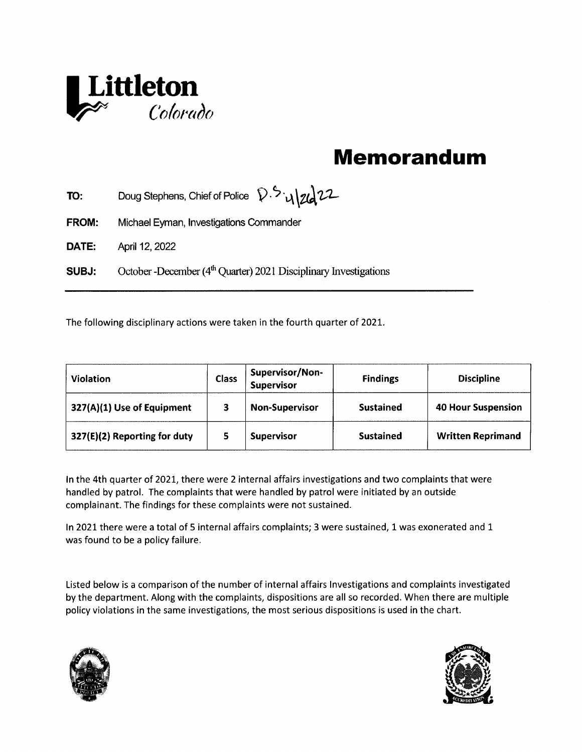

## Memorandum

|                  | Littleton<br>Colorado                                                         |                         |                                      |                   |                           |
|------------------|-------------------------------------------------------------------------------|-------------------------|--------------------------------------|-------------------|---------------------------|
|                  |                                                                               |                         |                                      | <b>Memorandum</b> |                           |
| TO:              | Doug Stephens, Chief of Police $\mathcal{D}.\mathcal{D}.\mathcal{U}$          |                         |                                      |                   |                           |
| <b>FROM:</b>     | Michael Eyman, Investigations Commander                                       |                         |                                      |                   |                           |
| DATE:            | April 12, 2022                                                                |                         |                                      |                   |                           |
| SUBJ:            | October - December (4 <sup>th</sup> Quarter) 2021 Disciplinary Investigations |                         |                                      |                   |                           |
|                  | The following disciplinary actions were taken in the fourth quarter of 2021.  |                         |                                      |                   |                           |
| <b>Violation</b> |                                                                               | <b>Class</b>            | Supervisor/Non-<br><b>Supervisor</b> | <b>Findings</b>   | <b>Discipline</b>         |
|                  | 327(A)(1) Use of Equipment                                                    | $\overline{\mathbf{3}}$ | <b>Non-Supervisor</b>                | <b>Sustained</b>  | <b>40 Hour Suspension</b> |
|                  | 327(E)(2) Reporting for duty                                                  | 5                       | <b>Supervisor</b>                    | <b>Sustained</b>  | <b>Written Reprimand</b>  |

in the 4th quarter of 2021, there were 2 internal affairs investigations and two complaints that were handled by patrol. The complaints that were handled by patrol were initiated by an outside complainant. The findings for these complaints were not sustained.

In 2021 there were a total of 5 internal affairs complaints; 3 were sustained, 1 was exonerated and 1 was found to be a policy failure.

Listed below is a comparison of the number of internal affairs Investigations and complaints investigated by the department. Along with the complaints, dispositions are all so recorded. When there are muitiple policy violations in the same investigations, the most serious dispositions is used in the chart.